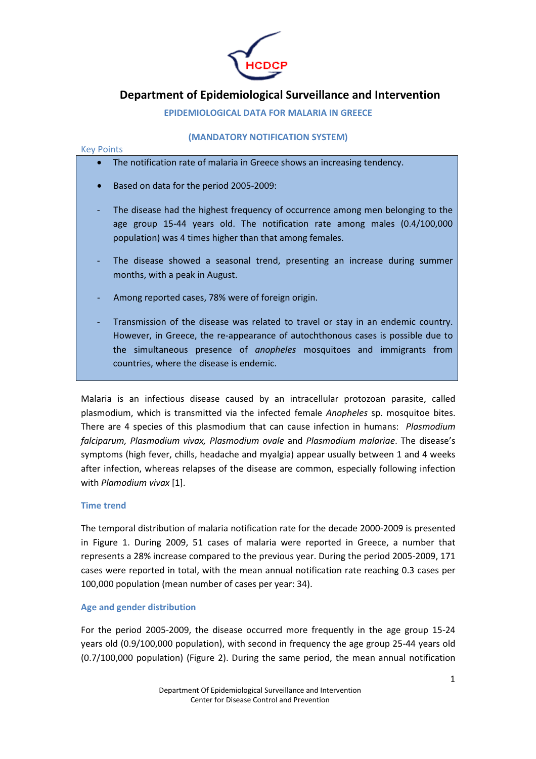

# Department of Epidemiological Surveillance and Intervention

EPIDEMIOLOGICAL DATA FOR MALARIA IN GREECE

# (MANDATORY NOTIFICATION SYSTEM)

# Key Points

- The notification rate of malaria in Greece shows an increasing tendency.
- Based on data for the period 2005-2009:
- The disease had the highest frequency of occurrence among men belonging to the age group 15-44 years old. The notification rate among males (0.4/100,000 population) was 4 times higher than that among females.
- The disease showed a seasonal trend, presenting an increase during summer months, with a peak in August.
- Among reported cases, 78% were of foreign origin.
- Transmission of the disease was related to travel or stay in an endemic country. However, in Greece, the re-appearance of autochthonous cases is possible due to the simultaneous presence of anopheles mosquitoes and immigrants from countries, where the disease is endemic.

Malaria is an infectious disease caused by an intracellular protozoan parasite, called plasmodium, which is transmitted via the infected female Anopheles sp. mosquitoe bites. There are 4 species of this plasmodium that can cause infection in humans: *Plasmodium* falciparum, Plasmodium vivax, Plasmodium ovale and Plasmodium malariae. The disease's symptoms (high fever, chills, headache and myalgia) appear usually between 1 and 4 weeks after infection, whereas relapses of the disease are common, especially following infection with Plamodium vivax [1].

# Time trend

The temporal distribution of malaria notification rate for the decade 2000-2009 is presented in Figure 1. During 2009, 51 cases of malaria were reported in Greece, a number that represents a 28% increase compared to the previous year. During the period 2005-2009, 171 cases were reported in total, with the mean annual notification rate reaching 0.3 cases per 100,000 population (mean number of cases per year: 34).

# Age and gender distribution

For the period 2005-2009, the disease occurred more frequently in the age group 15-24 years old (0.9/100,000 population), with second in frequency the age group 25-44 years old (0.7/100,000 population) (Figure 2). During the same period, the mean annual notification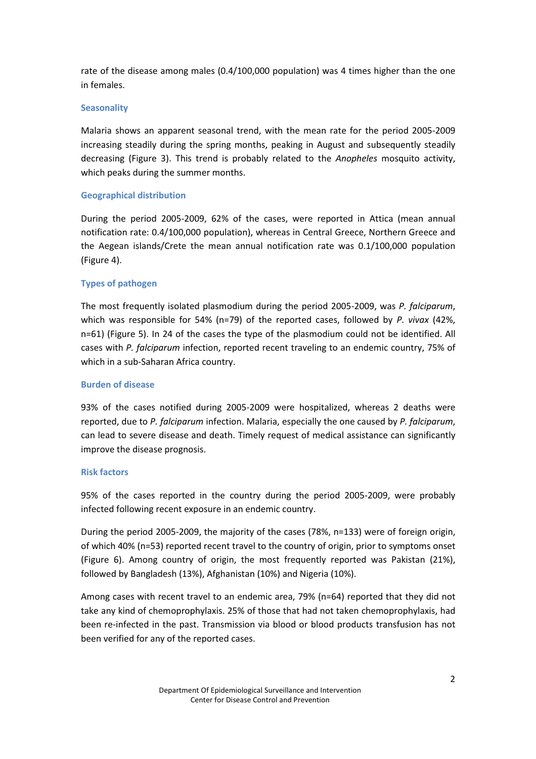rate of the disease among males (0.4/100,000 population) was 4 times higher than the one in females.

# **Seasonality**

Malaria shows an apparent seasonal trend, with the mean rate for the period 2005-2009 increasing steadily during the spring months, peaking in August and subsequently steadily decreasing (Figure 3). This trend is probably related to the Anopheles mosquito activity, which peaks during the summer months.

# Geographical distribution

During the period 2005-2009, 62% of the cases, were reported in Attica (mean annual notification rate: 0.4/100,000 population), whereas in Central Greece, Northern Greece and the Aegean islands/Crete the mean annual notification rate was 0.1/100,000 population (Figure 4).

# Types of pathogen

The most frequently isolated plasmodium during the period 2005-2009, was P. falciparum, which was responsible for 54% (n=79) of the reported cases, followed by P. vivax (42%, n=61) (Figure 5). In 24 of the cases the type of the plasmodium could not be identified. All cases with P. falciparum infection, reported recent traveling to an endemic country, 75% of which in a sub-Saharan Africa country.

# Burden of disease

93% of the cases notified during 2005-2009 were hospitalized, whereas 2 deaths were reported, due to P. falciparum infection. Malaria, especially the one caused by P. falciparum, can lead to severe disease and death. Timely request of medical assistance can significantly improve the disease prognosis.

# Risk factors

95% of the cases reported in the country during the period 2005-2009, were probably infected following recent exposure in an endemic country.

During the period 2005-2009, the majority of the cases (78%, n=133) were of foreign origin, of which 40% (n=53) reported recent travel to the country of origin, prior to symptoms onset (Figure 6). Among country of origin, the most frequently reported was Pakistan (21%), followed by Bangladesh (13%), Afghanistan (10%) and Nigeria (10%).

Among cases with recent travel to an endemic area, 79% (n=64) reported that they did not take any kind of chemoprophylaxis. 25% of those that had not taken chemoprophylaxis, had been re-infected in the past. Transmission via blood or blood products transfusion has not been verified for any of the reported cases.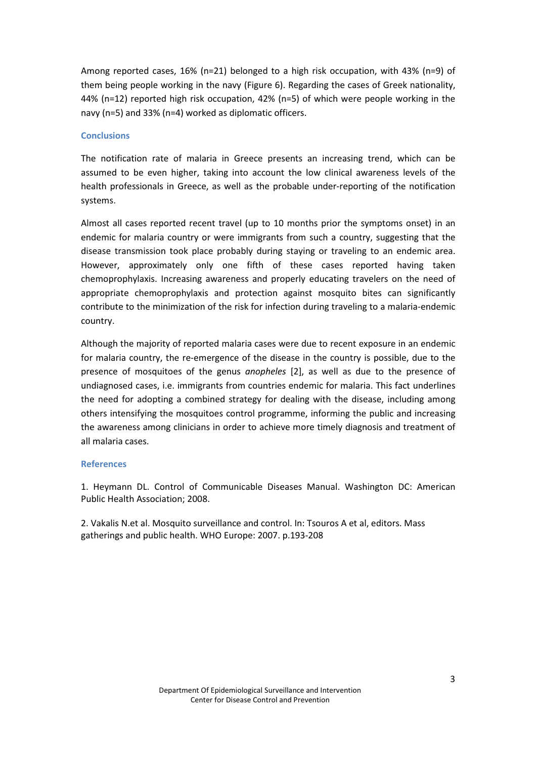Among reported cases, 16% (n=21) belonged to a high risk occupation, with 43% (n=9) of them being people working in the navy (Figure 6). Regarding the cases of Greek nationality, 44% (n=12) reported high risk occupation, 42% (n=5) of which were people working in the navy (n=5) and 33% (n=4) worked as diplomatic officers.

# **Conclusions**

The notification rate of malaria in Greece presents an increasing trend, which can be assumed to be even higher, taking into account the low clinical awareness levels of the health professionals in Greece, as well as the probable under-reporting of the notification systems.

Almost all cases reported recent travel (up to 10 months prior the symptoms onset) in an endemic for malaria country or were immigrants from such a country, suggesting that the disease transmission took place probably during staying or traveling to an endemic area. However, approximately only one fifth of these cases reported having taken chemoprophylaxis. Increasing awareness and properly educating travelers on the need of appropriate chemoprophylaxis and protection against mosquito bites can significantly contribute to the minimization of the risk for infection during traveling to a malaria-endemic country.

Although the majority of reported malaria cases were due to recent exposure in an endemic for malaria country, the re-emergence of the disease in the country is possible, due to the presence of mosquitoes of the genus anopheles [2], as well as due to the presence of undiagnosed cases, i.e. immigrants from countries endemic for malaria. This fact underlines the need for adopting a combined strategy for dealing with the disease, including among others intensifying the mosquitoes control programme, informing the public and increasing the awareness among clinicians in order to achieve more timely diagnosis and treatment of all malaria cases.

#### **References**

1. Heymann DL. Control of Communicable Diseases Manual. Washington DC: American Public Health Association; 2008.

2. Vakalis N.et al. Mosquito surveillance and control. In: Tsouros A et al, editors. Mass gatherings and public health. WHO Europe: 2007. p.193-208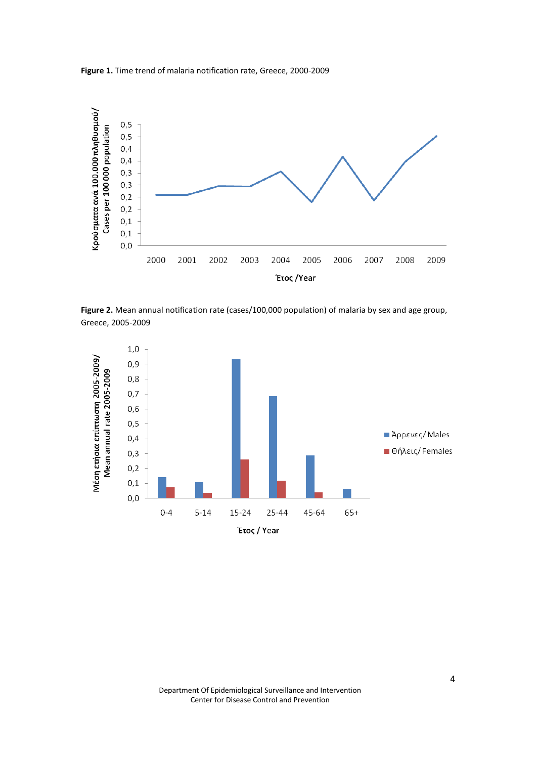Figure 1. Time trend of malaria notification rate, Greece, 2000-2009



Figure 2. Mean annual notification rate (cases/100,000 population) of malaria by sex and age group, Greece, 2005-2009

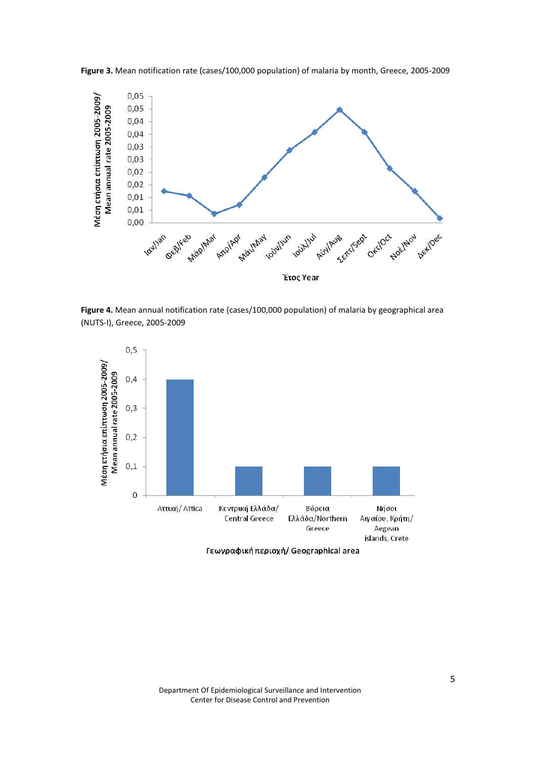

Figure 3. Mean notification rate (cases/100,000 population) of malaria by month, Greece, 2005-2009

Figure 4. Mean annual notification rate (cases/100,000 population) of malaria by geographical area (NUTS-I), Greece, 2005-2009



Γεωγραφική περιοχή/ Geographical area